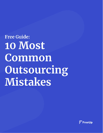**Free Guide: 10 Most** Common Outsourcing Mistakes

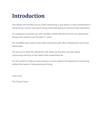## **Introduction**

This eBook will introduce you to what outsourcing is and where so many entrepreneurs and business owners have gone wrong while attempting to outsource their operations.

It's a pleasure to provide you with valuable content that derives from our experiences hiring online workers over the past 7+ years.

We stumbled upon outsourcing while networking with other entrepreneurs and never looked back.

We ask you to share the eBook link with others so that they can learn about outsourcing and how it may impact their professional life.

It is our mission to help as many business owners capture the potential of outsourcing without the hassle of interviewing and hiring.

Yours truly,

The FreeUp Team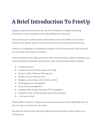### **A Brief Introduction To FreeUp**

[FreeUp](https://freeup.net/) connects businesses to the top 1% of freelancers in digital marketing, eCommerce, virtual assistance, and web development, and more.

The company gives entrepreneurs and business owners the ability to hire online workers with specific skill sets without the hassles of recruiting and interviewing.

FreeUp is a marketplace of freelancers located in the US and outside of the US that it has recruited, interviewed, and tested.

These freelancers have skills specialized within the eCommerce, digital marketing, and web development industries, among many other online business skills including:

- Virtual assistants
- Customer service (emails, phone, live chat)
- Amazon, eBay, Walmart, Newegg, Jet
- Shopify, WooCommerce, Wix
- Blogging, copywriting, and content creation
- Photography and videography
- Social media management
- Facebook Ads, Google Adwords, PPC campaigns.
- Designers, front end developers, back end developers
- ...And much more!

FreeUp takes a hands-on approach to outsourcing because of the difficulties that we ran into when we started to hire online.

We take the time to meet with each potential client and listen to their needs as an entrepreneur.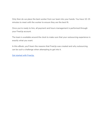Only then do we place the best worker from our team into your hands. You have 10-15 minutes to meet with the worker to ensure they are the best fit.

Once you're ready to hire, all payment and hours management is performed through your FreeUp account.

The team is available around the clock to make sure that your outsourcing experience is exactly what you want.

In this eBook, you'll learn the reasons that FreeUp was created and why outsourcing can be such a challenge when attempting to get into it.

Get started with [FreeUp.](https://freeup.net/)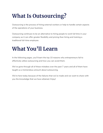## **What Is Outsourcing?**

Outsourcing is the process of hiring external workers or help to handle certain aspects of the operations of your business.

Outsourcing continues to be an alternative to hiring people to work full time in your company as it can offer greater flexibility and pricing than hiring and training a traditional full-time employee.

## **What You'll Learn**

In the following pages, you'll learn the top 10 reasons why entrepreneurs fail to effectively utilize outsourcing and how you can avoid them.

We've gone through all of these mistakes over the past 7 years and all of them have taught us a tremendous amount about outsourcing.

We're here today because of the failures that we've made and we want to share with you the knowledge that we have attained. Enjoy!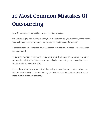# **10 Most Common Mistakes Of Outsourcing**

As with anything, you must fail on your way to perfection.

When growing up and playing a sport, how many times did you strike out, lose a game, miss a shot, or score an own goal before you reached peak performance?

It probably took you hundreds if not thousands of mistakes. Business and outsourcing are no different.

To curb the number of failures that you have to go through as an entrepreneur, we've put together a list of the 10 most common mistakes that entrepreneurs and business owners make when outsourcing.

It is our hope that these words of wisdom will guide you towards a future where you are able to effectively utilize outsourcing to cut costs, create more time, and increase productivity within your company.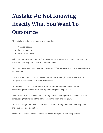# **Mistake #1: Not Knowing Exactly What You Want To Outsource**

The initial attraction of outsourcing is tempting.

- Cheaper rates…
- Less management…
- High quality work...

Why not start outsourcing today? Many entrepreneurs get into outsourcing without fully understanding how it will impact their business.

They don't take time to answer the questions: "What aspects of my business do I want to outsource?"

"How much money do I want to save through outsourcing?" "How am I going to integrate these workers into my current team?"

Through our outsourcing experience, we've found that bad experiences with outsourcing tend to stem from this type of unorganized approach.

Over the years, we've developed a strategy for discovering how you can initially start outsourcing that makes all the difference in the short and long run.

This is a strategy that we walk our FreeUp clients through when first learning about their business and operations.

Follow these steps and see increased success with your outsourcing efforts.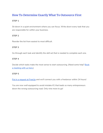### **How To Determine Exactly What To Outsource First**

#### **STEP 1**

Sit down in a quiet environment where you can focus. Write down every task that you are responsible for within your business.

#### **STEP 2**

Reorder the list from easiest to most difficult.

#### **STEP 3**

Go through each task and identify the skill set that is needed to complete each one.

#### **STEP 4**

Decide which tasks make the most sense to start outsourcing. (Need some help? [Book](https://freeup.net/meet/) a [meeting](https://freeup.net/meet/) with us here.)

#### **STEP 5**

Put in a [request](https://freeup.net/) at FreeUp and we'll connect you with a freelancer within 24 hours!

You are now well equipped to avoid mistake #1 that leads so many entrepreneurs down the wrong outsourcing road. Only nine more to go!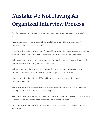## **Mistake #2 Not Having An Organized Interview Process**

You find yourself online searching through an outsourcing marketplace and you're thinking…

"Wow, there are so many people that would be a great fit for my company. I'm definitely going to give this a shot!"

If you're at this point and you haven't thought out your interview process, you're about to commit mistake #2: not having a prepared approach to the interview process!

When you don't have a strategic interview process, the odds that you will hire a reliable and skilled online worker goes significantly down.

With the number of online workers looking for new jobs, your inbox can become quickly flooded with tens of applicants from people all over the world

How do you find the right one? This all happened to us when we first started outsourcing in 2012.

We would set up Skype sessions with ambitious international workers with no real strategy as to how we would choose the right one.

We didn't know where they should be from, how many hours they should have already worked online, or what to believe from our initial chat with them.

They were located thousands of miles away from us in a world completely different from ours…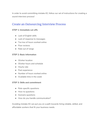In order to avoid committing mistake #2, follow our set of instructions for creating a sound interview process!

### Create an Outsourcing Interview Process

#### **STEP 1: Immediate cut-offs**

- Lack of English skills
- Lack of response to messages
- Too low of hours worked online
- Poor reviews
- Rate out of range

#### **STEP 2: Basic Information**

- Worker location
- Worker hours and schedule
- Hourly rate
- Past experience
- Number of hours worked online
- $\bullet$  Available time in the week

#### **STEP 3: Skills and commitment**

- Role-specific questions
- How-to questions
- Scenario questions
- How do you handle communication?

Avoiding mistake #2 can put you on a path towards hiring reliable, skilled, and affordable workers that fit your business needs.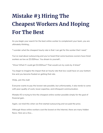# **Mistake #3 Hiring The Cheapest Workers And Hoping For The Best**

As you begin your search for the best online worker to complement your team, you are ultimately thinking…

"I wonder what the cheapest hourly rate is that I can get for the worker that I need."

You've read about outsourcing and you've heard that some business owners have hired workers as low as \$3.00/hour. You dream to yourself…

"Wow! What if I could get \$3.00/hour? That would cut my costs by 4 times!"

You begin to imagine the impact that an hourly rate that low could have on your bottom line and you become fixated on getting that rate.

Welp…join the club!

Everyone wants to pay the lowest rate possible, but unfortunately, it also tends to come with poor quality of work, lower expertise, and infrequent communication.

Mistake #3 is trying to hire the cheapest online worker possible simply for the goal of financial gain.

Again, we tried this when we first started outsourcing and we paid the price.

Although these online workers cost the lowest on the Internet, there are many hidden flaws. Here are a few…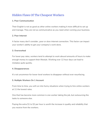### Hidden Flaws Of The Cheapest Workers

#### **1. Poor Communication**

Their English is not as good as other online workers making it more difficult to set up and manage. They are not as communicative as you need when running your business.

#### **2. Poor Internet**

A factor many don't consider…poor or slow internet connection. This factor can impact your worker's ability to get your company's work done.

#### **3. Overworked**

For lower pay rates, workers tend to attempt to work absurd amounts of hours to make enough money to support their lifestyle. Working over 12 hour days can lead to mistakes quite quickly.

#### **4. Disappearances**

It's not uncommon for lower-level workers to disappear without ever resurfacing.

#### **5. Multiple Workers On 1 Account**

From time to time, you will run into funny situations when trying to hire online workers at 11 the lowest rates.

One that has become more common is one worker taking the job, but outsourcing the tasks to someone else.

Paying the extra \$1 to \$2 per hour is worth the increase in quality and reliability that you receive from the workers.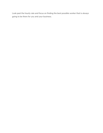Look past the hourly rate and focus on finding the best possible worker that is always going to be there for you and your business.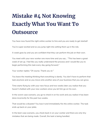## **Mistake #4 Not Knowing Exactly What You Want To Outsource**

You have now found the right online worker to hire and you are ready to get started!

You're super excited and so you jump right into setting them up in the role.

A week goes by and you are confident that they can perform the job on their own.

You meet with your new worker one more time and you say… "This has been a great week of set up. I feel like you really understand the process and I would like you to begin performing this task every day going forward."

Your worker replies "Of course. Thank you sir."

You leave the meeting thinking that everything is dandy. You don't have to perform that task anymore and so you move onto another area of your business that you can grow.

Time starts flying by with your new focus and two weeks later you realize that you haven't chatted with your new workers since you let him go on his own.

In the worst-case scenario, you go to check in on his work and you realize it has been done incorrectly for the past two weeks.

That would be a disaster! You lose it and immediately fire the online worker. The task ends up back on your plate.

In the best-case scenario, you check back in on your worker and there are only tiny mistakes that are being made. Overall, the task is being handled.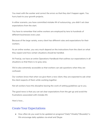You meet with the worker and correct the errors so that they don't happen again. You hurry back to your growth projects.

In either scenario, you have committed mistake #4 of outsourcing…you didn't set clear expectations from the start.

You have to remember that online workers are employed by tens to hundreds of different businesses every year.

Because of the large variety, every client has different rules and expectations for their workers.

As an online worker, you very much depend on the instructions from the client on what they expect and how certain situations should be handled.

At FreeUp, we have an entire Operations Handbook that outlines our expectations in all situations so that there is no gray area.

We're also extremely accessible so that workers can ask questions when they are confused.

Our workers know that when we give them a new client, they are expected to ask what the client expects of them while working together.

Not all workers have this discipline leaving the work of setting guidelines up to you.

The good news is that you can set clear expectations from the get-go and avoid the frustrations associated with mistake #4.

Here's how…

### Create Your Expectations

● How often do you want to be updated on progress? Daily? Weekly? Biweekly? o We encourage daily updates via email and Skype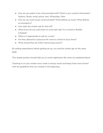- How do you prefer to be communicated with? What is your contact information? Options: Skype, email, phone, text, WhatsApp, Viber
- How do you want issues communicated? What defines an issue? What defines an emergency?
- How does the worker ask for time off?
- What hours do you want them to work each day? Is it a fixed or flexible schedule?
- When is it appropriate to ask for a raise?
- Are they allowed to outsource the work to a friend in busy times?
- What should they do if their Internet goes down?

By setting expectations before getting set up, you and the worker get on the same page.

This simple practice should help you to avoid nightmares like what we explained above.

Checking in on your worker every week is always smart and keeps them more honest with the guidelines that you created in the beginning.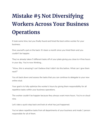# **Mistake #5 Not Diversifying Workers Across Your Business Operations**

It took some time, but you finally found and hired the best online worker for your business.

Give yourself a pat on the back. It's been a month since you hired them and you couldn't be happier.

They've already taken 5 different tasks off of your plate giving you close to 4 free hours in your day. You're now thinking…

"Wow, this is amazing! I can't believe that I didn't do this before. What can I give them next?"

You sit back down and assess the tasks that you can continue to delegate to your new online stud.

Your goal is to fully optimize the worker's hours by giving them responsibility for all repetitive tasks within your business operations.

The worker couldn't be happier because they always want more hours. You're on cloud nine.

Let's take a quick step back and look at what has just happened.

You've taken repetitive tasks from all departments of your business and made 1 person responsible for all of them.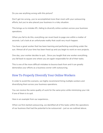Do you see anything wrong with this picture?

Don't get me wrong…you've accomplished more than most with your outsourcing efforts, but you've also placed your business in a risky situation.

This brings us to mistake #5…failing to diversify online workers across your business operations.

When you fail to do this, everything can revert back to page one within a matter of seconds. Let's look at an unfortunate reality that could very much happen.

You have a great worker that has been learning and perfecting everything under the sun. Almost all of your time has been freed up and you begin to work on new projects.

One day, your worker decides to quit… Since you taught that one worker everything, you fall back to square one where you are again responsible for all of their tasks.

This is one of the more difficult mistakes to bounce back from and it can greatly demoralize your efforts as a business owner with outsourcing.

### How To Properly Diversify Your Online Workers

In order to avoid this scenario, we highly recommend hiring multiple workers and diversifying them across your business operations.

You can receive the same quality of work for the same price while minimizing your risk if one of them is to quit.

Here is an example from our experience…

When we first started outsourcing, we identified all of the tasks within the operations of our business that had the potential to be outsourced – just as we outlined above.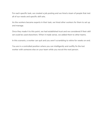For each specific task, we created a job posting and we hired a team of people that met all of our needs and specific skill sets.

As the workers became experts in their task, we hired other workers for them to set up and manage.

Once they made it to this point, we had established trust and we considered if their skill set could be used elsewhere. When it made sense, we added them to other teams.

In this scenario, a worker can quit and you aren't scrambling to rehire for weeks on end.

You are in a controlled position where you can intelligently and swiftly fix the lost worker with someone else on your team while you recruit the next person.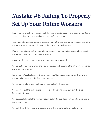## **Mistake #6 Failing To Properly Set Up Your Online Workers**

Proper setup, or onboarding, is one of the most important aspects of scaling your team regardless of whether the worker is in your office or remote.

A strong and organized set up process can bring the new worker up to speed and give them the tools to make a quick and lasting impact on the business.

It's even more important to have a fluent setup system for online workers because of the barrier of communication on the Internet.

Again, we find you at a new stage of your outsourcing experience.

You've just hired your worker and you are tasked with teaching them the first task that you want to outsource.

For argument's sake, let's say that you own an eCommerce company and you want them to take over the order fulfillment process.

You schedule a time and you begin a voice call with the worker.

You begin to tell them about the process slowly walking them through the order fulfillment interface.

You successfully walk the worker through submitting and annotating 10 orders and it takes you 1 hour.

You ask them if they have any questions and they simply reply "none for now."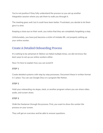You're not positive if they fully understand the process so you set up another integration session where you ask them to walk you through it.

The meeting goes well, but it could have been better. Frustrated, you decide to let them give it a shot.

Keeping a close eye on their work, you notice that they are completely forgetting a step.

Unfortunately, you have just become a victim of mistake #6…not properly setting up your online worker.

### Create A Detailed Onboarding Process

It's nothing to be ashamed of. Before we failed multiple times, we did not know the best ways to set up our online workers either.

Now I'm here to explain how you can avoid it!

#### **STEP 1**

Create detailed systems with step by step processes. Document these in written format in 1 place. You can use Google Docs or a program like Notion.

#### **STEP 2**

Hold your onboarding via skype, slack, or another program where you can share video, audio, and screen share.

#### **STEP 3**

Walk the freelancer through the process. First, you want to show the worker the process on your screen.

They will get an overview and be able to answer questions.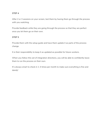#### **STEP 4**

After 2 or 3 sessions on your screen, test them by having them go through the process with you watching.

Provide feedback while they are going through the process so that they are perfect once you let them go on their own.

#### **STEP 5**

Provide them with the setup guide and have them update it as parts of the process change.

It is their responsibility to keep it as updated as possible for future workers.

When you follow this set of integration directions, you will be able to confidently leave them to run the process on their own.

It's always smart to check in 1-4 times per month to make sure everything is fine and dandy!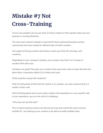# **Mistake #7 Not Cross-Training**

You've now properly set up your team of online workers in their specific tasks and your business is running efficiently.

The next most common mistake is reserved for those advanced business owners outsourcing who have created an efficient team of online workers.

One aspect of having workers that always comes up is time off, sick days, and vacations.

Depending on your company's policies, your workers may have 2 to 3 weeks of vacation time each year.

Vacations are great! They give your workers time away from work to enjoy their life and allow them a necessary reboot 3 to 4 times each year.

What could be wrong with vacations?

Well, for that period of time that the worker is on vacation, you lose someone that is a master of their craft.

When thinking about one of your online workers that specializes in a very specific task of your operations, you run into a bit of a challenge…

"Who else can do that task?"

This is where business owners can fall into the trap and commit the most common mistake #7…not setting up your workers to be able to handle multiple tasks.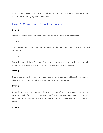Here is how you can overcome this challenge that many business owners unfortunately run into while managing their online team.

### How To Cross-Train Your Freelancers

#### **STEP 1**

Identify all of the tasks that are handled by online workers in your company.

#### **STEP 2**

Next to each task, write down the names of people that know how to perform that task other than you.

#### **STEP 3**

For tasks that only have 1 person, find someone from your company that has the skills to perform that task. Write that person's name down next to the task.

#### **STEP 4**

Create a schedule that has everyone's vacation plans projected at least 1 month out. Ideally, your vacation schedule will pan out for an entire quarter.

#### **STEP 5**

Bring the two workers together – the one that knows the task and the one you wrote down in step 3. For each task that you identified as only having one person with the skills to perform the role, set a goal for passing off the knowledge of that task to the other.

#### **STEP 6**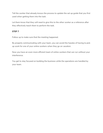Tell the worker that already knows the process to update the set up guide that you first used when getting them into the task.

Let them know that they will need to give this to the other worker as a reference after they effectively teach them to perform the task.

#### **STEP 7**

Follow up to make sure that the meeting happened.

By properly communicating with your team, you can avoid the hassles of having to pick up work for one of your online workers when they go on vacation.

Now you have an even more efficient team of online workers that can run without your interference.

You get to stay focused on building the business while the operations are handled by your team.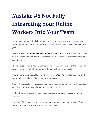# **Mistake #8 Not Fully Integrating Your Online Workers Into Your Team**

As I've said throughout this book, most online workers are always seeking new opportunities and may end up working for hundreds of clients over a period of one year.

Online workers are **extremely accustomed to short term contracts**, but most come from a professional background where they were working for a company for a long period of time.

They decided to move into online freelancing for the convenience of their family or because they saw a better opportunity to pursue their career goals.

Online workers are best utilized when fully integrated into your team and given the opportunity to really feel the culture of your business.

One of the biggest misconceptions that many business owners have of outsourced work is that they aren't really a part of the home team.

Rather, they are a foreign support team that performs specific tasks within the company.

If you are of this mindset, you are committing our most common mistake #8…not fully integrating your online workers into your business.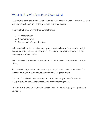### What Online Workers Care About Most

As we hired, fired, and built an ultimate online team of over 30 freelancers, we realized what was most important to the people that we were hiring.

It can be broken down into three simple themes:

- 1. Consistent work
- 2. Competitive rates
- 3. Being a part of a growing team

When we built the team, not setting up your workers to be able to handle multiple tasks meant that the worker understood the culture that we had created for the company in our home office.

We introduced them to our history, our team, our accolades, and showed them our office.

As the workers got to know the company better, they became more committed to working hard and sticking around to achieve the long term goals.

If you want to milk the most out of your online workers, you must focus on fully integrating them into your business operations from the get-go.

The more effort you put in, the more loyalty they will feel to helping you grow your company.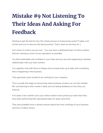# **Mistake #9 Not Listening To Their Ideas And Asking For Feedback**

Starting to get the feel for how this whole process of outsourcing works? It takes a lot of trial and error to discover the best practices. That's what we are here for ;)

Let's return to where you are now… You now have a dedicated team of online workers that are running as much of your operations as possible.

You feel comfortable and confident in your team and you are even beginning to develop relationships with your best workers.

You regularly chat with them on Skype and you keep them up to date with everything that is happening in the business.

They genuinely seem excited to be working for your company.

This is usually the stage of outsourcing where business owners can run into mistake #9…not listening to their worker's ideas and not asking feedback on how they can improve.

If it's been a few months since your online workers have joined your team then they have been performing their specialized tasks for quite some time.

They also probably know a decent amount about the inner workings of your business and how it makes money.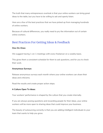The truth that many entrepreneurs overlook is that your online workers can bring great ideas to the table, but you have to be willing to ask and openly listen.

Here are a few of the best practices that we have picked up from managing hundreds of online workers.

Because of cultural differences, you really need to pry the information out of certain online workers.

### Best Practices For Getting Ideas & Feedback

#### **One-On-Ones:**

We suggest having 1-on-1 meetings with every freelancer on a weekly basis.

This gives them a consistent schedule for them to ask questions, and for you to check their work.

#### **Anonymous Surveys:**

Release anonymous surveys each month where your online workers can share their ideas and criticisms.

Read the results and create proper action steps.

#### **A Culture Open To Ideas:**

Your workers' performance is shaped by the culture that you create internally.

If you are always posing questions and rewarding people for their ideas, your online workers will be more open to sharing ideas that could improve your business.

The beauty of outsourcing correctly is that you are adding intelligent individuals to your team that wants to help you grow.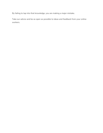By failing to tap into that knowledge, you are making a major mistake.

Take our advice and be as open as possible to ideas and feedback from your online workers.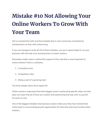# **Mistake #10 Not Allowing Your Online Workers To Grow With Your Team**

We've reached the tenth and final mistake that is most commonly committed by entrepreneurs as they start outsourcing.

If you can manage to avoid all 10 of these mistakes, you are in great shape to run your business with the help of an amazing team of online workers.

Remember earlier when I outlined the aspects of the role that is most important to online workers? Here's a refresher…

- 1. Consistent work
- 2. Competitive rates
- 3. Being a part of a growing team

The final mistake stems from aspect #3.

Online workers understand that their biggest asset is performing specific tasks, but that does not mean that all of them are content with performing that task with no growth for years on end.

One of the biggest mistakes that business owners make once they have formed their online team is not providing growth opportunities for their best and most trusted online workers.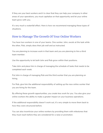If they are your best workers and it is clear that they can help your company in other areas of your operations, you must capitalize on that opportunity and let your online team grow with you.

It's very much a waterfall effect. Here is how we recommend managing these types of situations.

### How to Manage The Growth Of Your Online Workers

You have two workers in one of your teams. One worker, John, excels at the task while the other, Rob, simply does their job well and as instructed.

You are planning to increase work in that team and you are planning to hire a third team member.

Use the opportunity to let both John and Rob grow within their positions.

Take John and place him in charge of managing the schedule of tasks that needs to be completed each week.

Put John in charge of managing Rob and the third worker that you are planning on hiring.

For Rob, give him the additional responsibility of setting up the new online worker that you are hiring for the team.

By offering these growth opportunities, you create less work for you. You also give your online workers the ability to make a greater impact on your business operations.

If the additional responsibility doesn't work out, it's very simple to move them back to how they were structured before.

You can also incentivize your online workers by providing them with milestones that they must reach before they are considered for a raise or promotion.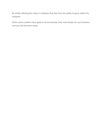By simply offering this notion, it indicates that they have the ability to grow within the company.

When online workers have goals to strive towards, they work harder for your business and your job becomes easier.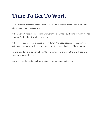### **Time To Get To Work**

If you've made it this far, it is our hope that you have learned a tremendous amount about the power of outsourcing.

When we first started outsourcing, we weren't sure what would come of it, but we had a strong feeling that it would all work out.

While it took us a couple of years to fully identify the best practices for outsourcing within our company, the long term impact greatly outweighed the initial setbacks.

As the founders and owners of FreeUp, it is our goal to provide others with positive outsourcing experiences.

We wish you the best of luck as you begin your outsourcing journey!